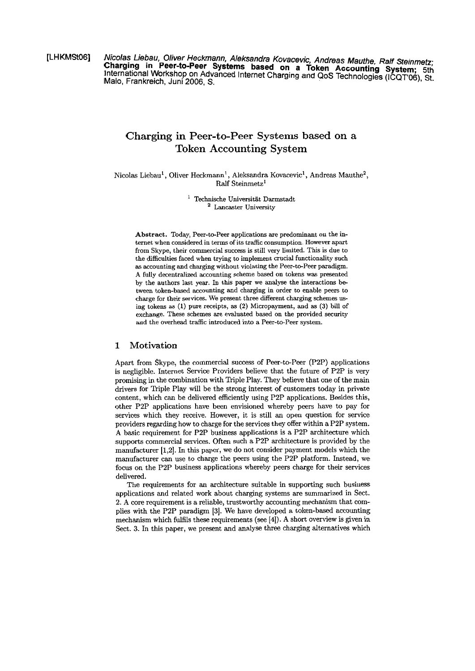[LHKMSt06] Nicolas Liebau, Oliver Heckmann, Aleksandra Kovacevic, Andreas Mauthe, Ralf Steinmetz; International Workshop on Advanced Internet Charging and QoS Technologies (ICQT'06), St. Malo, Frankreich, Juni 2006, S.

# **Charging in Peer-to-Peer Systems based on a Token Accounting System**

Nicolas Liebau<sup>1</sup>, Oliver Heckmann<sup>1</sup>, Aleksandra Kovacevic<sup>1</sup>, Andreas Mauthe<sup>2</sup>, Ralf Steinmetz<sup>1</sup>

> $^{\rm 1}$ Technische Universität Darmstadt <sup>2</sup> Lancaster University

Abstract. Today, Peer-to-Peer applications are predominant on the internet when considered in terms of its trafiic consumption. However apart from Skype, their commercial success is still very limited. This is due to the difficulties faced when trying to implement cruciai functionaiity such as accounting and charging without violating the Peer-to-Peer paradigm. **A** fully decentralized accounting scherne based on tokens was presented by the authors last year. In this paper we analyse the interactions between token-based accounting and charging in order **to** enable peers to charge for their services. We present three different charging schemes using tokens as (1) pure receipts, as (2) Micropayment, and as **(3)** biU of exchange. These schemes are evaiuated based on the provided security and the overhead traffic introduced into a Peer-to-Peer system.

# **1 Motivation**

Apart from Skype, the commercial success of Peer-to-Peer (P2P) applications is negligible. Internet Service Providers believe that the future of P2P is very promising in the combination with Triple Play. They beiieve that one of the main drivers for Triple Play will be the strong interest of customers today in private content, which can be delivered efficiently using P2P applications. Besides this, other P2P appiications have been envisioned whereby peers have to pay for services which they receive. However, it is still an Open question for service providers regarding how to charge for the services they offer within a P2P system. **A** basic requirement for P2P business appiications is a P2P architecture which supports commercial services. Often such a P2P architecture is provided by the manufacturer **[1,2].** In this paper, we do not consider payment models which the manufacturer **can** use to charge the peers using the P2P platform. Instead, we focus on the P2P business applications whereby peers charge for their services delivered.

The requirements for an architecture suitable in supporting such business applications and related work about charging systems are summarized in Sect. 2. A core requirement is a reliable, trustworthy accounting mechanism that complies with the P2P paradigm **[3].** We have developed a token-based accounting mechanism which fuifils these requirements (see **[4]).** A short overview is given in Sect. **3.** In this paper, we present and analyse three charging alternatives which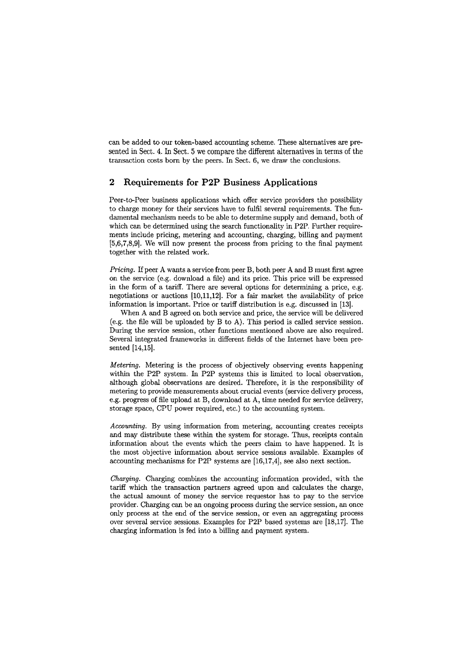can be added to our token-based accounting scheme. These alternatives are presented in Sect. 4. In Sect. 5 we compare the different alternatives in terms of the transaction costs born by the peers. In Sect. 6, we draw the conclusions.

# **2 Requirements for P2P Business Applications**

Peer-to-Peer business applications which offer service providers the possibility to charge money for their services have to fulfil several requirements. The fundamental mechanism needs to be able to determine supply and demand, both of which can be determined using the search functionality in P2P. Further requirements include pricing, metering and accounting, charging, billing and payment [5,6,7,8,9]. We will now present the process from pricing to the final payment together with the related work.

*Pricing.* If peer A wants a service from peer B, both peer A and B must first agree on the service (e.g. download a file) and its price. This piice wiil be expressed in the form of a tariff. There are several options for determining a price, e.g. negotiations or auctions  $[10,11,12]$ . For a fair market the availability of price information is important. Price or tariff distribution is e.g. discussed in [13].

When A and B agreed on both service and price, the service will be delivered (e.g. the file wiü be uploaded by B to A). This period is called service session. During the service session, other functions mentioned above are also required. Several integrated frameworks in different fields of the Internet have been presented [14,15].

*Metering.* Metering is the process of objectively observing events happening within the P2P system. In P2P systems this is limited to local observation, although global observations are desired. Therefore, it is the responsibility of metering to provide measurements about crucial events (service delivery process, e.g. Progress of file upload at B, download at **A,** time needed for service delivery, storage space, CPU power required, etc.) to the accounting system.

*Accounting.* By using information from metering, accounting creates receipts and may distribute these within the system for storage. Thus, receipts contain information about the events which the peers claim to have happened. It is the most objective information about service sessions available. Examples of accounting mechanisms for P2P Systems are [16,17,4], See also next section.

*Charging.* Charging combines the accounting information provided, with the tariff which the transaction partners agreed upon and calculates the charge, the actual amount of money the service requestor has to pay to the service provider. Charging **can** be an ongoing process during the service session, an once only process at the end of the service session, or even an aggregating process over several service sessions. Examples for P2P based systenis are [18,17]. The charging information is fed into a billig and payment system.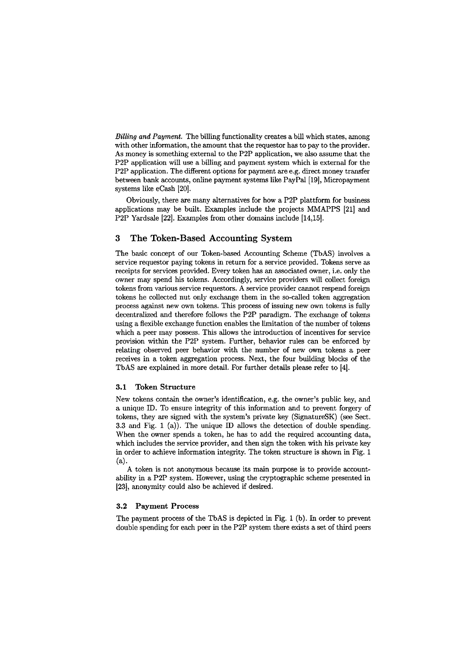*Billing and Payment.* The billing functionality creates a bill which states, among with other information, the amount that the requestor has to pay to the provider. As money is something external to the P2P application, we also assume that the P2P application will use a billing and payment system which is external for the P2P application. The different options for payrnent are e.g. direct money transfer between bank accounts, online payment systems like PayPal [19], Micropayment systems like eCash [20].

Obviously, there are many alternatives for how a P2P plattform for business applications may be built. Examples include the projects MMAPPS [21] and P2P Yardsale [22]. Examples from other domains include [14,15].

# **3 The Token-Based Accounting System**

The basic concept of our Token-based Accounting Scheme (TbAS) involves a service requestor paying tokens in return for a service provided. Tokens serve as receipts for services provided. Every token has an associated owner, i.e. only the owner may spend his tokens. Accordingly, service providers will collect foreign tokens from various service requestors. A service provider cannot respend foreign tokens he collected nut only exchange them in the so-called token aggregation process against new own tokens. This process of issuing new own tokens is fully decentralized and therefore follows the P2P paradigm. The exchange of tokens using a flexible exchange function enables the limitation of the number of tokens which a peer may possess. This allows the introduction of incentives for service provision within the P2P system. Further, behavior rules can be enforced by relating observed peer behavior with the number of new own tokens a peer receives in a token aggregation process. Next, the four building blocks of the TbAS are explained in more detail. For further details please refer to 141.

#### **3.1 Token Structure**

New tokens contain the owner's identification, e.g. the owner's public key, and a unique ID. To ensure integrity of this information and to prevent forgery of tokens, they are signed with the system's private key (SignatureSK) (see Sect. 3.3 and Fig. 1 (a)). The unique ID allows the detection of double spending. When the owner spends a token, he has to add the required accounting data, which includes the service provider, and then sign the token with his private key in order to achieve information integrity. The token structure is shown in Fig. 1  $(a).$ 

A token is not anonyrnous because its main purpose is to provide accountability in a P2P system. However, using the cryptographic scheme presented in [23], anonymity could also be achieved if desired.

#### **3.2 Payment Process**

The payrnent process of the TbAS is depicted in Fig. 1 (b). In order to prevent double spending for each peer in the P2P system there exists a set of third peers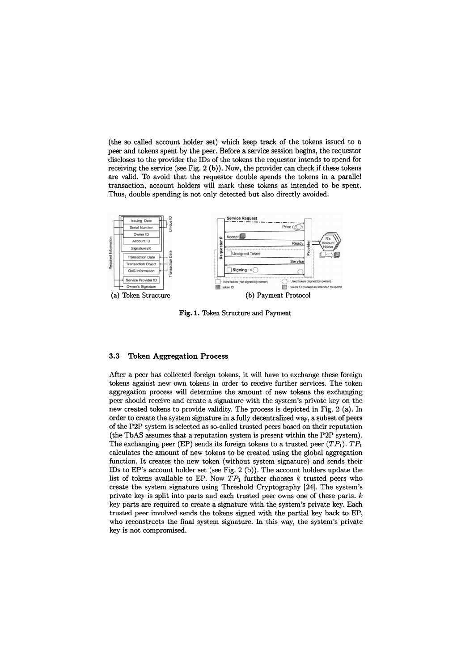(the so called account holder set) which keep track of the tokens issued to a peer and tokens spent by the peer. Before a service session begins, the requestor discloses to the provider the IDs of the tokens the requestor intends to spend for receiving the service (see Fig. **2** (b)). Now, the provider **can** check if these tokens are valid. To avoid that the requestor double spends the tokens in a parallel transaction, account holders will mark these tokens as intended to be spent. Thus, double spending is not only detected but also directly avoided.



**Fig.** 1. Token Structure and Payment

## **3.3 Token Aggregation Process**

After a peer has collected foreign tokens, it will have to exchange these foreign tokens against new own tokens in order to receive further services. The token aggregation process **will** determine the amount of new tokens the exchanging peer should receive and create a signature with the system's private key on the new created tokens to provide validity. The process is depicted in Fig. 2 (a). In order to create the system signature in a fully decentralized way, a subset of peers of the P2P system is selected as so-called trusted peers based on their reputation (the TbAS assumes that a reputation system is present within the P2P system). The exchanging peer (EP) sends its foreign tokens to a trusted peer  $(TP_1)$ .  $TP_1$ calculates the amount of new tokens to be created using the global aggregation function. It creates the new token (without system signature) and sends their IDs to EP's account holder set (see Fig. **2** (b)). The acwunt holders update the list of tokens available to EP. Now  $TP_1$  further chooses k trusted peers who create the system signature using Threshold Cryptography **[24].** The systern's private key is split into parts and each trusted peer owns one of these parts. k key parts are required to create a signature with the system's private key. Each trusted peer involved sends the tokens signed with the partial key back to EP, who reconstructs the final system signature. In this way, the system's private key is not compromised.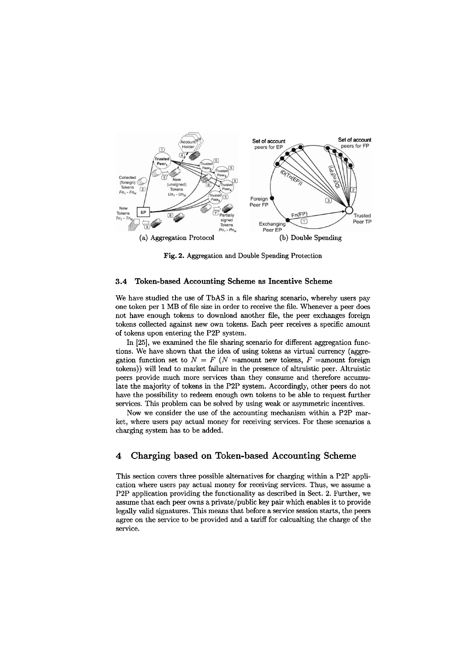

**Fig.** 2. Aggregation and Double Spending Protection

#### **3.4 Token-based Accounting Scheme as Incentive Scheme**

We have studied the use of TbAS in a file sharing scenario, whereby users pay one token per 1 MB of file size in order to receive the file. Whenever a peer does not have enough tokens to download another file, the peer exchanges foreign tokens collected against new own tokens. Each peer receives a specific amount of tokens upon entering the **P2P** system.

In [25], we examined the file sharing scenario for different aggregation functions. We have shown that the idea of using tokens as virtual currency (aggregation function set to  $N = F (N =$ amount new tokens,  $F =$ amount foreign tokens)) will lead to market failure in the presence of aitruistic peer. Altruistic peers provide much more services than they consume and therefore accumulate the majority of tokens in the **P2P** system. Accordingly, other peers do not have the possibility to redeem enough own tokens to be able to request further services. This problem **can** be solved by using weak or asymmetric incentives.

Now we consider the use of the accounting mechanism within a **P2P** market, where users pay actuai money for receiving services. For these scenarios a charging system has to be added.

# **4 Charging based on Token-based Accounting Scheme**

This section Covers three possible alternatives for charging within a **P2P** application where users pay actual money for receiving services. Thus, we assume a P2P application providing the functionality as described in Sect. 2. Further, we assume that each peer owns a private/public key pair which enables it to provide legaily valid signatures. This means that before a service session starts, the peers agree on the service to be provided and a tariff for calcualting the charge of the service.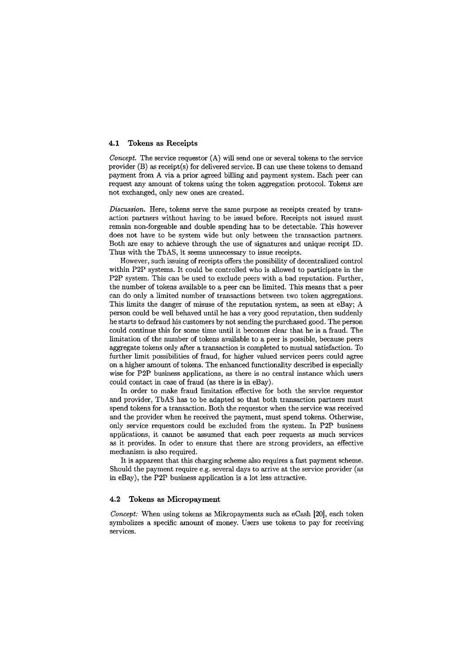## **4.1 Tokens as Receipts**

*Concept.* The service requestor (A) will send one or several tokens to the service provider (B) as receipt(s) for delivered service. B can use these tokens to demand payment from A via a prior agreed billing and payment system. Each peer can request any amount of tokens using the token aggregation protocol. Tokens are not exchanged, only new ones are created.

*Discussion.* Here, tokens serve the same purpose as receipts created by transaction partners without having to be issued before. Receipts not issued must remain non-forgeable and double spending has to be detectable. This however does not have to be system wide but only between the transaction partners. Both are easy to achieve through the use of signatures and unique receipt ID. Thus with the TbAS, it seems unnecessary to issue receipts.

However, such issuing of receipts offers the possibility of decentralized control within P2P systems. It could be controlled who is allowed to participate in the P2P system. This can be used to exclude peers with a bad reputation. Further, the number of tokens available to a peer can be limited. This means that a peer can do only a limited number of transactions between two token aggregations. This limits the danger of misuse of the reputation system, as seen at eBay; A person could be well behaved until he has a very good reputation, then suddenly he starts to defraud his customers by not sending the purchased good. The person could continue this for some time until it becomes clear that he is a fraud. The limitation of the number of tokens available to a peer is possible, because peers aggregate tokens only after a transaction is completed to mutual satisfaction. To further limit possibilities of fraud, for higher valued services peers could agree on a higher amount of tokens. The enhanced functionality described is especially wise for P2P business applications, as there is no central instance which users could contact in case of fraud **(as** there is in eBay).

In order to make fraud limitation effective for both the service requestor and provider, TbAS has to be adapted so that both transaction partners must spend tokens for a transaction. Both the requestor when the service was received and the provider when he received the payment, must spend tokens. Otherwise, only service requestors could be excluded from the system. In P2P business applications, it cannot be assumed that each peer requests as much services as it provides. In oder to ensure that there are strong providers, an effective mechanism is also required.

It is apparent that this charging scheme also requires a fast payment scheme. Should the payment require e.g. several days to arrive at the service provider (as in eBay), the P2P business application is a lot less attractive.

#### **4.2 Tokens as Micropayment**

*Concept:* When using tokens as Mikropayments such **as** eCash [20], each token symbolizes a specfic amount of money. Users use tokens to pay for receiving services.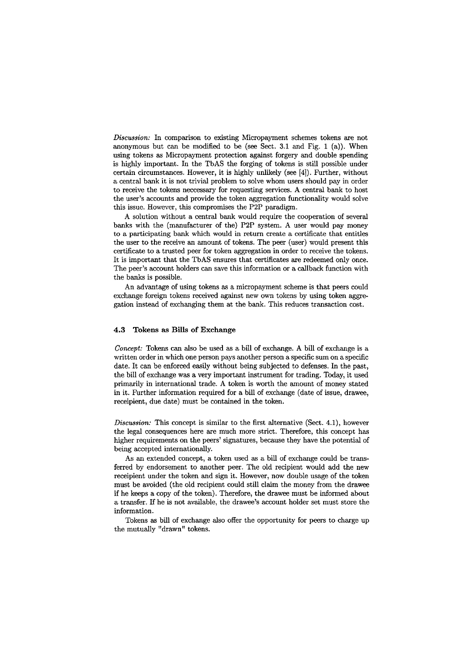*Discussion: In* comparison to existing Micropayment schemes tokens are not anonymous but can be modified to be (see Sect. 3.1 and Fig. 1 (a)). When using tokens as Micropayment protection against forgery and double spending is highly important. In the TbAS the forging of tokens is still possible under certain circumstances. However, it is highly unlikely (see [4]). Further, without a central bank it **is** not trivial problem to solve whom Users should pay in order to receive the tokens neccessary for requesting services. A central bank to host the user's accounts and provide the token aggregation functionality would solve this issue. However, this compromises the P2P paradigm.

A solution without a central bank would require the cooperation of several banks with the (manufacturer of the) P2P System. A User would pay money to a participating bank which would in return create a certificate that entitles the user to the receive an amount of tokens. The peer (user) would present this certificate to a trusted peer for token aggregation in order to receive the tokens. It is important that the TbAS ensures that certificates are redeemed only once. The peer's account holders can save this information or a callback function with the banks is possible.

An advantage of using tokens as a micropayment scheme is that peers could exchange foreign tokens received against new own tokens by using token aggregation instead of exchanging them at the bank. This reduces transaction cost.

# **4.3 Tokens as Bills of Exchange**

*Concept:* Tokens can also be used as a bill of exchange. A bill of exchange is a written order in which one person pays another person a specific sum on a specific date. It can be enforced easily without being subjected to defenses. In the past, the bill of exchange was a very important instrument for trading. Today, it used primarily in international trade. **A** token is worth the amount of money stated in it. Further information required for a bill of exchange (date of issue, drawee, receipient, due date) must be contained in the token.

*Discussion:* This concept is similar to the first alternative (Sect. 4.1), however the legal consequences here are much more strict. Therefore, this concept has higher requirements on the peers' signatures, because they have the potential of being accepted internationally.

As an extended concept, a token used as a bill of exchange could be transferred by endorsement to another peer. The old recipient would add the new receipient under the token and sign it. However, now double usage of the token must be avoided (the old recipient could still claim the money from the drawee if he keeps a copy of the token). Therefore, the drawee must be informed about a transfer. If he is not avaiiable, the drawee's acwunt holder set must store the information.

Tokens **as biil** of exchange also offer the opportunity for peers to charge up the mutually "drawn" tokens.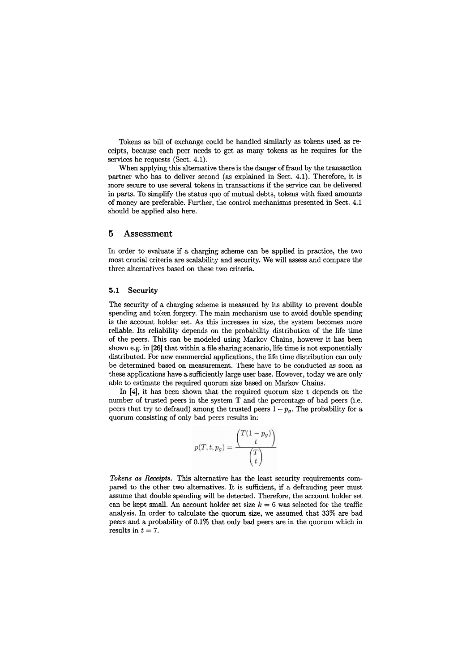Tokens as bill of exchange could be handled similarly **as** tokens used **as** receipts, because each Peer needs to get as many tokens as he requires for the services he requests (Sect. 4.1).

When applying this alternative there is the danger of fraud by the transaction partner who has to deliver second (as explained in Sect. 4.1). Therefore, it is more secure to use several tokens in transactions if the service can be deiivered in parts. To simplify the Status quo of mutual debts, tokens with fixed amounts of money are preferable. Further, the control mechanisms presented in Sect. 4.1 should be applied also here.

# **5 Assessment**

In order to evaluate if a charging scheme can be applied in practice, the two most crucial criteria are scalabiiity and security. We will assess and compare the three alternatives based on these two criteria.

#### **5.1 Security**

The security of a charging scheme is measured by its ability to prevent double spending and token forgery. The main mechanism use to avoid double spending is the account holder set. As this increases in size, the system becomes more reliable. Its reliabiiity depends on the probability distribution of the life time of the peers. This **can** be modeled using Markov Chains, however it has been shown e.g. in **[26]** that within a file sharing scenario, life time is not exponentially distributed. For new commercial applications, the life time distribution can only be determined based on measurement. These have to be conducted as soon as these applications have a sufficiently large user base. However, today we are only able to estimate the required quorum size based on Markov Chains.

Ln [4], it has been shown that the required quorum size t depends on the number of trusted peers in the system T and the percentage of bad peers (i.e. peers that try to defraud) among the trusted peers  $1 - p_g$ . The probability for a quorum consisting of only bad peers results in:

$$
p(T, t, p_g) = \frac{\binom{T(1-p_g)}{t}}{\binom{T}{t}}
$$

Tokens **as** *Receipts.* This alternative has the least security requirements compared to the other two alternatives. It is sufficient, if a defrauding peer must assume that double spending will be detected. Therefore, the account holder set can be kept small. An account holder set size  $k = 6$  was selected for the traffic analysis. In order to calculate the quorum size, we assumed that **33%** are bad peers and a probabiiity of 0.1% that only bad peers are in the quorum which in results in  $t = 7$ .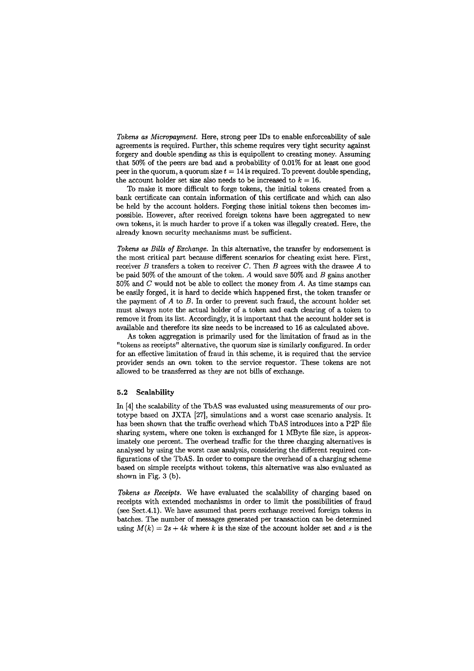*Tokens as Micmpayment.* Here, strong peer IDs to enable enforceability of sale agreements is required. Further, this scheme requires very tight security against forgery and double spending as this is equipollent to creating money. Assuming that 50% of the peers are bad and a probability of 0.01% for at least one good peer in the quorum, a quorum size  $t = 14$  is required. To prevent double spending, the account holder set size also needs to be increased to  $k = 16$ .

To make it more difficult to forge tokens, the initial tokens created from a bank certificate can contain information of this certificate and which can also be held by the account holders. Forging these initial tokens then becomes impossible. Howewr, after received foreign tokens have been aggregated to new own tokens, it is much harder to prove if a token was illegally created. Here, the already known security mechanisms must be sufficient.

*Tokens as Bills* of *Exchange. In* this alternative, the transfer by endorsement is the most critical part because different Scenarios for cheating exist here. First, receiver B transfers a token to receiver C. Then B agrees with the drawee *A* to be paid 50% of the amount of the token. *A* would save 50% and B gains another 50% and C would not be able to collect the money from *A.* As time stamps can be easily forged, it is hard to decide which happened first, the token transfer or the payment of *A* to *B*. In order to prevent such fraud, the account holder set must always note the actual holder of a token and each clearing of a token to remove it from its list. Accordingly, it is important that the account holder set is avaiiable and therefore its size needs to be increased to 16 as calculated above.

As token aggregation is primarily used for the limitation of fraud as in the "tokens as receipts" alternative, the quorum size is similarly configured. In order for an effective limitation of fraud in this scheme, it is required that the service provider sends an own token to the service requestor. These tokens are not ailowed to be transferred as they are not biils of exchange.

#### **5.2 Scalability**

In  $[4]$  the scalability of the TbAS was evaluated using measurements of our prototype based on JXTA [27], simulations and a worst case scenario analysis. It has been shown that the traffic overhead which TbAS introduces into a P2P file sharing System, where one token is exchanged for 1 MByte file size, is approximately one percent. The overhead traffic for the three charging alternatives is analysed by using the worst case analysis, considering the different required configurations of the TbAS. In order to compare the overhead of a charging scheme based on simple receipts without tokens, this alternative was also evaluated as shown in Fig. **3** (b).

*Tokens as Receipts.* We have evaluated the scalability of charging based on receipts with extended mechanisms in order to limit the possibilities of fraud (see Sect.4.1). We have assumed that peers exchange received foreign tokens in batches. The number of messages generated per transaction can be determined using  $M(k) = 2s + 4k$  where k is the size of the account holder set and s is the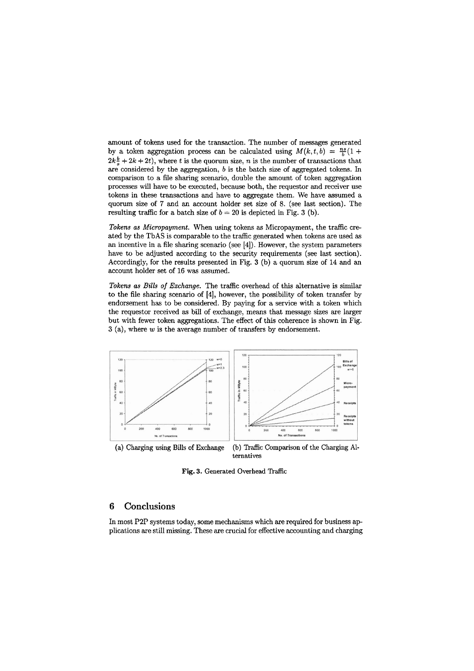amount of tokens used for the transaction. The number of messages generated by a token aggregation process can be calculated using  $M(k, t, b) = \frac{ns}{b}(1 +$  $2k\frac{b}{s} + 2k + 2t$ , where t is the quorum size, n is the number of transactions that are considered by the aggregation,  $b$  is the batch size of aggregated tokens. In comparison to a file sharing scenario, double the amount of token aggregation processes will have to be executed, because both, the requestor and receiver use tokens in these transactions and have to aggregate them. We have assumed a quorum size of **7** and an account holder set size of 8. (see last section). The resulting traffic for a batch size of  $b = 20$  is depicted in Fig. 3 (b).

Tokens as Micropayment. When using tokens as Micropayment, the traffic created by the TbAS is comparable to the traffic generated when tokens are used as an incentive in a file sharing scenario (see [4]). However, the systern parameters have to be adjusted according to the security requirements (see last section). Accordingly, for the results presented in Fig. **3** (b) a quorum size of 14 and an account holder set of 16 was assumed.

Tokens as Bills of Exchange. The traffic overhead of this alternative is similar to the file sharing scenario of [4], however, the possibility of token transfer by endorsement has to be considered. By paying for a service with a token which the requestor received as bil of exchange, means that message sizes are larger but with fewer token aggregations. The effect of this coherence is shown in Fig. **3** (a), where **W** is the average number of transfers by endorsement.



ternatives

**Fig.** 3. Generated Overhead Traffic

# **6 Conclusions**

In most P2P Systems today, some mechanisms which are required for business applications are stili missing. These are crucial for effective accounting and charging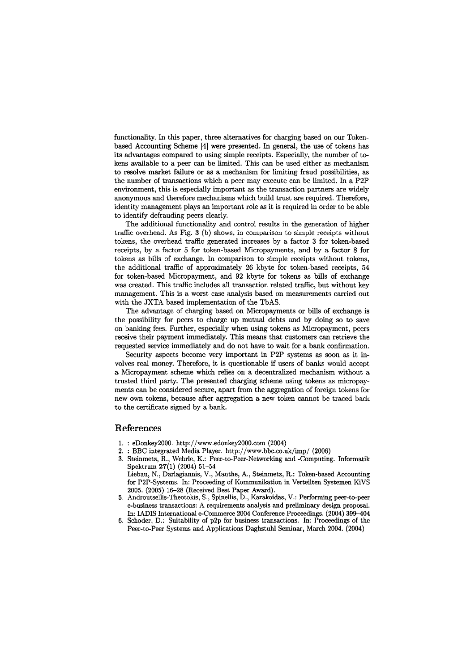functionality. In this paper, three alternatives for charging based on our Tokenbased Accounting Scheme **[4]** were presented. **In** general, the use of tokens has its advantages compared to using simple receipts. Especially, the number of tokens available to a Peer **can** be limited. This can be used either as mechanism to resolve market failure or as a mechanism for limiting fraud possibilities, as the number of transactions which a peer may execute can be limited. In a P2P environment, this is especially important as the transaction partners are widely anonymous and therefore mechanisms which build trust are required. Therefore, identity management plays an important role as it is required in order to be able to identify defrauding peers clearly.

The additional functionality and control results in the generation of higher traffic overhead. As Fig. 3 (b) shows, in comparison to simple receipts without tokens, the overhead traffic generated increases by a factor **3** for token-based receipts, by a factor **5** for token-based Micropayments, and by a factor 8 for tokens as bills of exchange. In comparison to simple receipts without tokens, the additional traffic of approximately 26 kbyte for token-based receipts, **54**  for token-based Micropayment, and 92 kbyte for tokens as bills of exchange was created. This traffic includes all transaction related traffic, but without key management. This is a worst case analysis based on measurements carried out with the JXTA based implementation of the TbAS.

The advantage of charging based on Micropayments or bills of exchange is the possibility for peers to charge up mutual debts and by doing so to save on banking fees. Further, especially when using tokens as Micropayment, peers receive their payment immediately. This means that customers can retrieve the requested service immediately and do not have to wait for a bank confirmation.

Security aspects become very important in P2P systems as soon as it involves real money. Therefore, it is questionable if users of banks would accept a Micropayment scheme which relies on a decentralized mechanism without a trusted thiid party. The presented charging scheme using tokens as micropayments can be considered secure, apart from the aggregation of foreign tokens for new own tokens, because after aggregation a new token cannot be traced back to the certificate signed by a bank.

# **References**

- 1. : eDonkey2000. **http://www.edonkey20OO.com** (2004)
- 2. : BBC integrated Media Player. http://www.bbc.co.uk/imp/ (2006)
- Steinmetz, R., Wehrle, K.: Peer-to-Peer-Networking and -Computing. Informatik Spektrum 27(1) (2004) 51-54 Liebau, N., Darlagiannis, V., Mauthe, A., Steinmetz, R.: Token-based Accounting
- for PZP-Systems. in: Proceeding of Kommunikation in Verteilten Systemen KiVS 2005. (2005) 16-28 (Received Best Paper Award).
- 5. **Androutsellis-Theotokis,** S., Spinellis, D., Karakoidas, V.: Performing peer-to-peer e-business transactions: A requirements anaiysis and preiiminary design proposai. In: IADIS International e-Commerce 2004 Conference Proceedings. (2004) 399-404
- 6. Schoder, D.: Suitability of p2p for business transaxtions. In: Proceedings of the Peer-to-Peer Systems and Applications Daghstuhl Seminar, March 2004. (2004)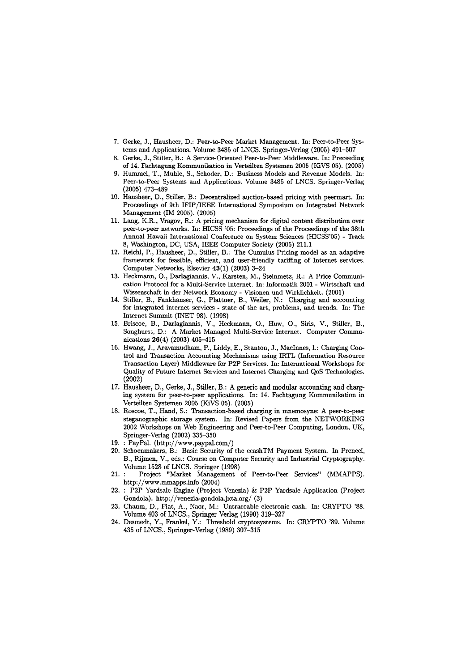- 7. Gerke, J., Hausheer, D.: Peer-to-Peer Market Management. In: Peer-to-Peer Systems and Applications. Volume 3485 of LNCS. Springer-Verlag (2005) 491-507
- 8. Gerke, J., Stiller, B.: A Service-Oriented Peer-to-Peer Middieware. In: Preceeding of 14. Fachtagung Kommunikation in Verteilten Systemen 2005 (KiVS 05). (2005)
- 9. Hummel, T., Muhle, S., Schoder, D.: Business Models and Revenue Models. In: Peer-to-Peer Systems and Applications. Volume 3485 of LNCS. Springer-Verlag  $(2005)$  473-489
- 10. Hausheer, D., Stiller, B.: Decentralized auction-based pricing with peermart. In: Proceedings of 9th IFIP/IEEE International Symposium on Integrated Network Management (IM 2005). (2005)
- 11. Lang, K.R., Vragov, R.: A pricing mechanism for digital content distribution over peer-to-peer networks. In: HICSS '05: Proceedings of the Proceedings of the 38th Annual Hawaii International Conference on System Sciences (HICSS'05) - Track 8, Washington, DC, USA, IEEE Computer Society (2005) 211.1
- 12. Reichl, P., Hausheer, D., Stiller, B.: The Cumulus Pricing model as an adaptive frarnework for feasible, efficient, and wer-friendly tariffing of Internet services. Computer Networks, Elsevier 43(1) (2003) 3-24
- 13. Heckmann, O., Darlagiannis, V., Karsten, M., Steinmetz, R.: A Price Communication Protocol for a Multi-Service Internet. In: Informatik 2001 - Wirtschaft und Wissenschaft in der Network Economy - Visionen und Wirklichkeit. (2001)
- 14. Stiller, B., Fankhauser, G., Plattner, B., Weiler, N.: Charging and accounting for integrated internet services - state of the art, problems, and trends. In: The Internet Summit (INET 98). (1998)
- 15. Briscoe, B., Darlagiannis, V., Heckmann, O., Huw, O., Siris, V., Stiller, B., Songhurst, D.: A Market Managed Multi-Service Internet. Computer Communications 26(4) (2003) 405-415
- 16. Hwang, J., Aravamudharn, P., Liddy, E., Stanton, J., MacInnes, 1.: Charging Control and Transaction Accounting Mechanisms using IRTL (Information Resource Transaction Layer) Middleware for P2P Services. In: International Workshops for Quality of Future Internet Services and Internet Charging and QoS Technologies. (2002)
- 17. Hausheer, D., Gerke, J., Stiller, B.: A generic and modular accounting and charging system for peer-to-peer applications. In: 14. Fachtagung Kommunikation in Verteilten Systemen 2005 (KiVS 05). (2005)
- 18. Roscoe, T., Hand, C.: Transaction-based charging in mnemosyne: A peer-to-peer steganographic storage system. In: Revised Papers from the NETWORKING 2002 Workshops on Web Engineering and Peer-to-Peer Computing, London, UK, Springer-Verlag (2002) 335-350
- 19. : PayPal. (http://www.paypal.com/)
- 20. Schoenmakers, B.: Basic Security of the ecashTM Payment System. In Preneel, B., Rijmen, V., eds.: Course on Computer Security and Industrial Cryptography. Volume 1528 of LNCS. Springer (1998)
- 21. : Project "Market Management of Peer-to-Peer Services" (MMAPPS). http://www.mmapps.info (2004)
- 22. : P2P Yardsale Engine (Project Venezia) & P2P Yardsale Application (Project Gondola). http://venezia-gondola.jxta.org/ (3)
- 23. Chaum, D., Fiat, A., Naor, M.: Untraceable electronic cash. In: CRYPTO '88. Volume 403 of LNCS., Springer Verlag (1990) 319-327
- 24. Desmedt, Y., Frankel, Y.: Threshold cryptosystems. In: CRYPTO '89. Volume 435 of LNCS., Springer-Verlag (1989) 307-315